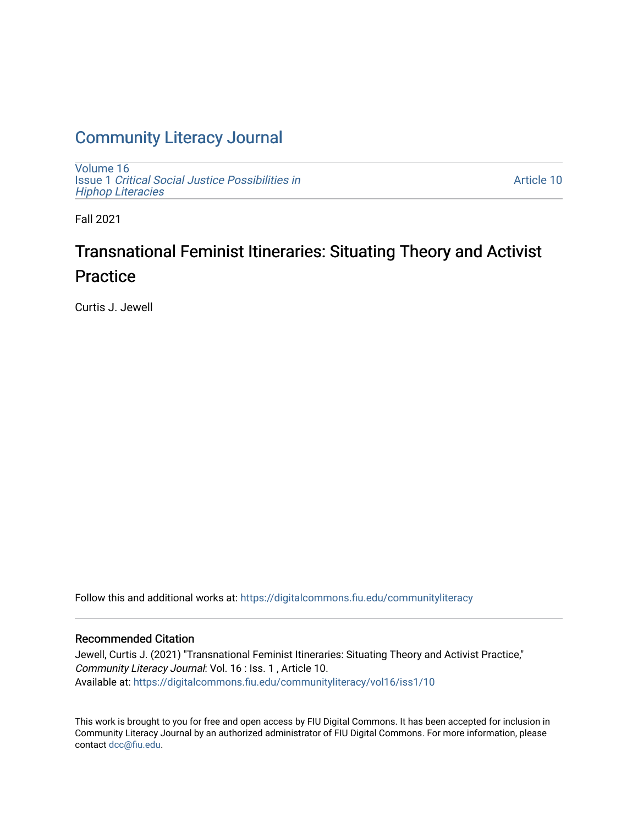### [Community Literacy Journal](https://digitalcommons.fiu.edu/communityliteracy)

[Volume 16](https://digitalcommons.fiu.edu/communityliteracy/vol16) Issue 1 [Critical Social Justice Possibilities in](https://digitalcommons.fiu.edu/communityliteracy/vol16/iss1) [Hiphop Literacies](https://digitalcommons.fiu.edu/communityliteracy/vol16/iss1)

[Article 10](https://digitalcommons.fiu.edu/communityliteracy/vol16/iss1/10) 

Fall 2021

### Transnational Feminist Itineraries: Situating Theory and Activist **Practice**

Curtis J. Jewell

Follow this and additional works at: [https://digitalcommons.fiu.edu/communityliteracy](https://digitalcommons.fiu.edu/communityliteracy?utm_source=digitalcommons.fiu.edu%2Fcommunityliteracy%2Fvol16%2Fiss1%2F10&utm_medium=PDF&utm_campaign=PDFCoverPages)

#### Recommended Citation

Jewell, Curtis J. (2021) "Transnational Feminist Itineraries: Situating Theory and Activist Practice," Community Literacy Journal: Vol. 16 : Iss. 1 , Article 10. Available at: [https://digitalcommons.fiu.edu/communityliteracy/vol16/iss1/10](https://digitalcommons.fiu.edu/communityliteracy/vol16/iss1/10?utm_source=digitalcommons.fiu.edu%2Fcommunityliteracy%2Fvol16%2Fiss1%2F10&utm_medium=PDF&utm_campaign=PDFCoverPages) 

This work is brought to you for free and open access by FIU Digital Commons. It has been accepted for inclusion in Community Literacy Journal by an authorized administrator of FIU Digital Commons. For more information, please contact [dcc@fiu.edu](mailto:dcc@fiu.edu).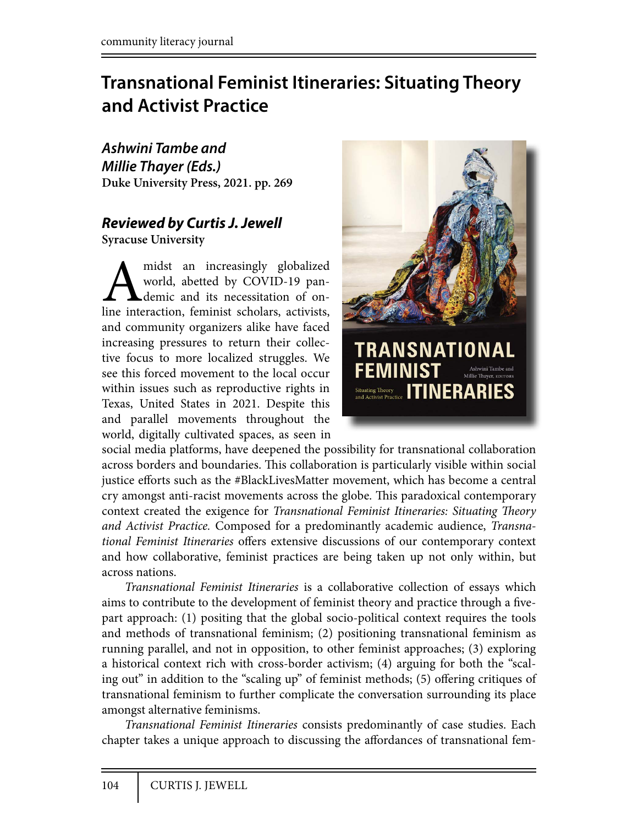## **Transnational Feminist Itineraries: Situating Theory and Activist Practice**

*Ashwini Tambe and Millie Thayer (Eds.)* **Duke University Press, 2021. pp. 269**

# *Reviewed by Curtis J. Jewell*

**Syracuse University**

midst an increasingly globalized world, abetted by COVID-19 pan-<br>demic and its necessitation of on-<br>line interaction, feminist scholars, activists, world, abetted by COVID-19 pandemic and its necessitation of onand community organizers alike have faced increasing pressures to return their collective focus to more localized struggles. We see this forced movement to the local occur within issues such as reproductive rights in Texas, United States in 2021. Despite this and parallel movements throughout the world, digitally cultivated spaces, as seen in



social media platforms, have deepened the possibility for transnational collaboration across borders and boundaries. This collaboration is particularly visible within social justice efforts such as the #BlackLivesMatter movement, which has become a central cry amongst anti-racist movements across the globe. This paradoxical contemporary context created the exigence for *Transnational Feminist Itineraries: Situating Theory and Activist Practice.* Composed for a predominantly academic audience, *Transnational Feminist Itineraries* offers extensive discussions of our contemporary context and how collaborative, feminist practices are being taken up not only within, but across nations.

*Transnational Feminist Itineraries* is a collaborative collection of essays which aims to contribute to the development of feminist theory and practice through a fivepart approach: (1) positing that the global socio-political context requires the tools and methods of transnational feminism; (2) positioning transnational feminism as running parallel, and not in opposition, to other feminist approaches; (3) exploring a historical context rich with cross-border activism; (4) arguing for both the "scaling out" in addition to the "scaling up" of feminist methods; (5) offering critiques of transnational feminism to further complicate the conversation surrounding its place amongst alternative feminisms.

*Transnational Feminist Itineraries* consists predominantly of case studies. Each chapter takes a unique approach to discussing the affordances of transnational fem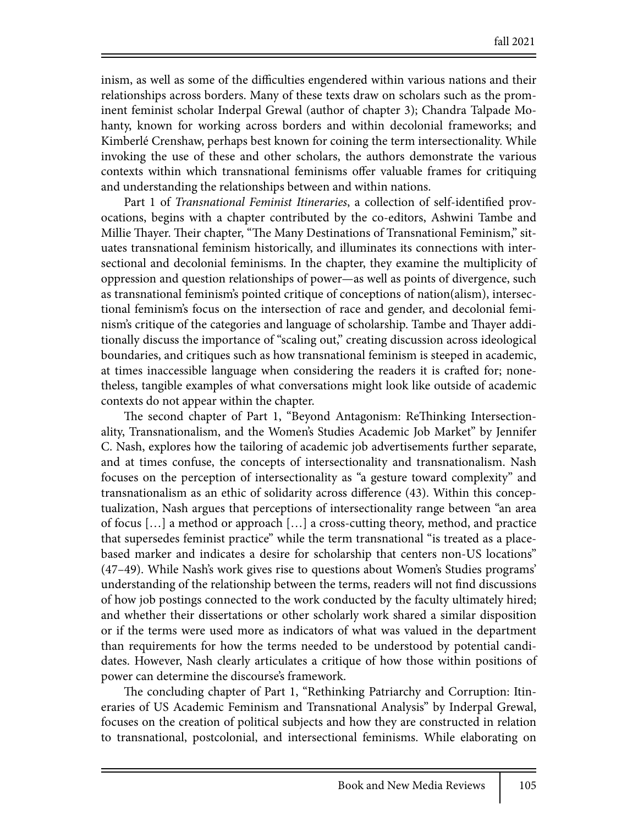inism, as well as some of the difficulties engendered within various nations and their relationships across borders. Many of these texts draw on scholars such as the prominent feminist scholar Inderpal Grewal (author of chapter 3); Chandra Talpade Mohanty, known for working across borders and within decolonial frameworks; and Kimberlé Crenshaw, perhaps best known for coining the term intersectionality. While invoking the use of these and other scholars, the authors demonstrate the various contexts within which transnational feminisms offer valuable frames for critiquing and understanding the relationships between and within nations.

Part 1 of *Transnational Feminist Itineraries*, a collection of self-identified provocations, begins with a chapter contributed by the co-editors, Ashwini Tambe and Millie Thayer. Their chapter, "The Many Destinations of Transnational Feminism," situates transnational feminism historically, and illuminates its connections with intersectional and decolonial feminisms. In the chapter, they examine the multiplicity of oppression and question relationships of power—as well as points of divergence, such as transnational feminism's pointed critique of conceptions of nation(alism), intersectional feminism's focus on the intersection of race and gender, and decolonial feminism's critique of the categories and language of scholarship. Tambe and Thayer additionally discuss the importance of "scaling out," creating discussion across ideological boundaries, and critiques such as how transnational feminism is steeped in academic, at times inaccessible language when considering the readers it is crafted for; nonetheless, tangible examples of what conversations might look like outside of academic contexts do not appear within the chapter.

The second chapter of Part 1, "Beyond Antagonism: ReThinking Intersectionality, Transnationalism, and the Women's Studies Academic Job Market" by Jennifer C. Nash, explores how the tailoring of academic job advertisements further separate, and at times confuse, the concepts of intersectionality and transnationalism. Nash focuses on the perception of intersectionality as "a gesture toward complexity" and transnationalism as an ethic of solidarity across difference (43). Within this conceptualization, Nash argues that perceptions of intersectionality range between "an area of focus […] a method or approach […] a cross-cutting theory, method, and practice that supersedes feminist practice" while the term transnational "is treated as a placebased marker and indicates a desire for scholarship that centers non-US locations" (47–49). While Nash's work gives rise to questions about Women's Studies programs' understanding of the relationship between the terms, readers will not find discussions of how job postings connected to the work conducted by the faculty ultimately hired; and whether their dissertations or other scholarly work shared a similar disposition or if the terms were used more as indicators of what was valued in the department than requirements for how the terms needed to be understood by potential candidates. However, Nash clearly articulates a critique of how those within positions of power can determine the discourse's framework.

The concluding chapter of Part 1, "Rethinking Patriarchy and Corruption: Itineraries of US Academic Feminism and Transnational Analysis" by Inderpal Grewal, focuses on the creation of political subjects and how they are constructed in relation to transnational, postcolonial, and intersectional feminisms. While elaborating on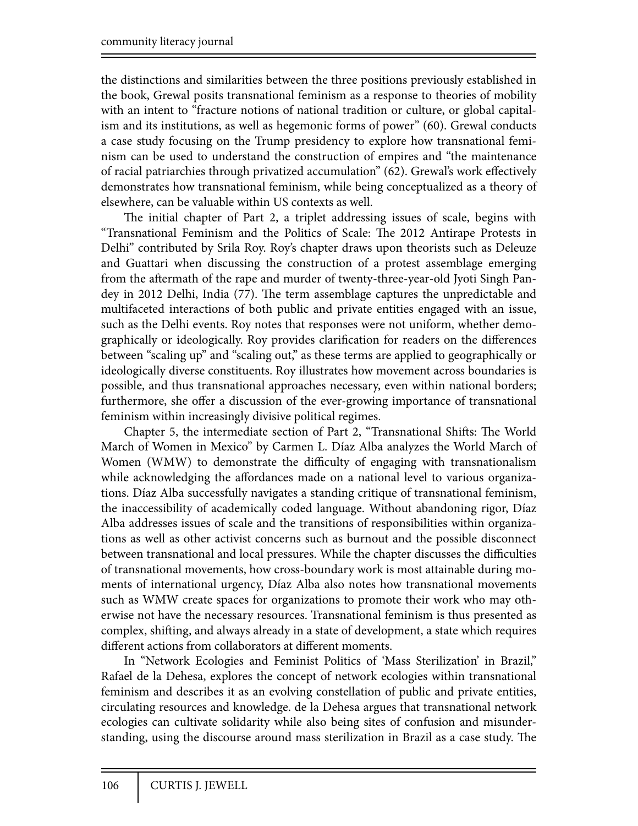the distinctions and similarities between the three positions previously established in the book, Grewal posits transnational feminism as a response to theories of mobility with an intent to "fracture notions of national tradition or culture, or global capitalism and its institutions, as well as hegemonic forms of power" (60). Grewal conducts a case study focusing on the Trump presidency to explore how transnational feminism can be used to understand the construction of empires and "the maintenance of racial patriarchies through privatized accumulation" (62). Grewal's work effectively demonstrates how transnational feminism, while being conceptualized as a theory of elsewhere, can be valuable within US contexts as well.

The initial chapter of Part 2, a triplet addressing issues of scale, begins with "Transnational Feminism and the Politics of Scale: The 2012 Antirape Protests in Delhi" contributed by Srila Roy. Roy's chapter draws upon theorists such as Deleuze and Guattari when discussing the construction of a protest assemblage emerging from the aftermath of the rape and murder of twenty-three-year-old Jyoti Singh Pandey in 2012 Delhi, India (77). The term assemblage captures the unpredictable and multifaceted interactions of both public and private entities engaged with an issue, such as the Delhi events. Roy notes that responses were not uniform, whether demographically or ideologically. Roy provides clarification for readers on the differences between "scaling up" and "scaling out," as these terms are applied to geographically or ideologically diverse constituents. Roy illustrates how movement across boundaries is possible, and thus transnational approaches necessary, even within national borders; furthermore, she offer a discussion of the ever-growing importance of transnational feminism within increasingly divisive political regimes.

Chapter 5, the intermediate section of Part 2, "Transnational Shifts: The World March of Women in Mexico" by Carmen L. Díaz Alba analyzes the World March of Women (WMW) to demonstrate the difficulty of engaging with transnationalism while acknowledging the affordances made on a national level to various organizations. Díaz Alba successfully navigates a standing critique of transnational feminism, the inaccessibility of academically coded language. Without abandoning rigor, Díaz Alba addresses issues of scale and the transitions of responsibilities within organizations as well as other activist concerns such as burnout and the possible disconnect between transnational and local pressures. While the chapter discusses the difficulties of transnational movements, how cross-boundary work is most attainable during moments of international urgency, Díaz Alba also notes how transnational movements such as WMW create spaces for organizations to promote their work who may otherwise not have the necessary resources. Transnational feminism is thus presented as complex, shifting, and always already in a state of development, a state which requires different actions from collaborators at different moments.

In "Network Ecologies and Feminist Politics of 'Mass Sterilization' in Brazil," Rafael de la Dehesa, explores the concept of network ecologies within transnational feminism and describes it as an evolving constellation of public and private entities, circulating resources and knowledge. de la Dehesa argues that transnational network ecologies can cultivate solidarity while also being sites of confusion and misunderstanding, using the discourse around mass sterilization in Brazil as a case study. The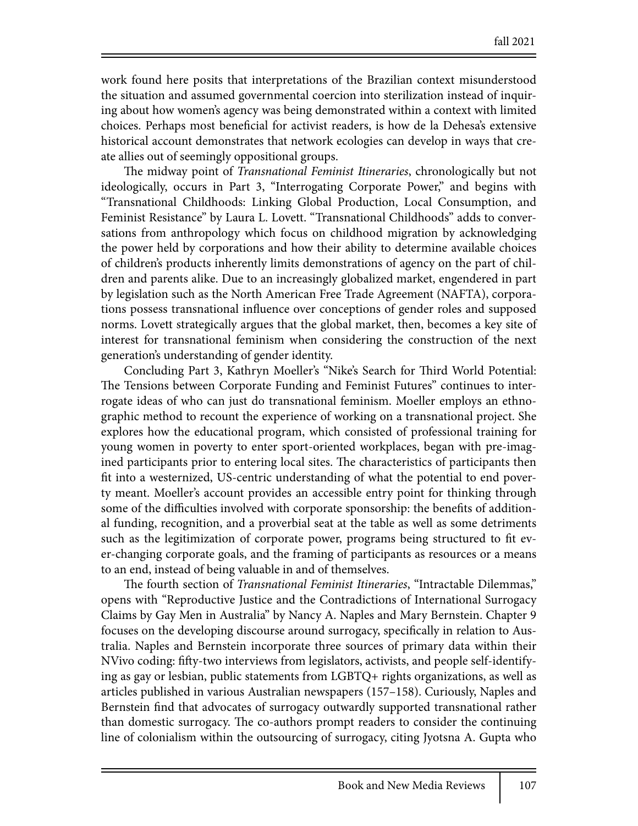work found here posits that interpretations of the Brazilian context misunderstood the situation and assumed governmental coercion into sterilization instead of inquiring about how women's agency was being demonstrated within a context with limited choices. Perhaps most bene#cial for activist readers, is how de la Dehesa's extensive historical account demonstrates that network ecologies can develop in ways that create allies out of seemingly oppositional groups.

The midway point of *Transnational Feminist Itineraries*, chronologically but not ideologically, occurs in Part 3, "Interrogating Corporate Power," and begins with "Transnational Childhoods: Linking Global Production, Local Consumption, and Feminist Resistance" by Laura L. Lovett. "Transnational Childhoods" adds to conversations from anthropology which focus on childhood migration by acknowledging the power held by corporations and how their ability to determine available choices of children's products inherently limits demonstrations of agency on the part of children and parents alike. Due to an increasingly globalized market, engendered in part by legislation such as the North American Free Trade Agreement (NAFTA), corporations possess transnational influence over conceptions of gender roles and supposed norms. Lovett strategically argues that the global market, then, becomes a key site of interest for transnational feminism when considering the construction of the next generation's understanding of gender identity.

Concluding Part 3, Kathryn Moeller's "Nike's Search for Third World Potential: The Tensions between Corporate Funding and Feminist Futures" continues to interrogate ideas of who can just do transnational feminism. Moeller employs an ethnographic method to recount the experience of working on a transnational project. She explores how the educational program, which consisted of professional training for young women in poverty to enter sport-oriented workplaces, began with pre-imagined participants prior to entering local sites. The characteristics of participants then fit into a westernized, US-centric understanding of what the potential to end poverty meant. Moeller's account provides an accessible entry point for thinking through some of the difficulties involved with corporate sponsorship: the benefits of additional funding, recognition, and a proverbial seat at the table as well as some detriments such as the legitimization of corporate power, programs being structured to fit ever-changing corporate goals, and the framing of participants as resources or a means to an end, instead of being valuable in and of themselves.

!e fourth section of *Transnational Feminist Itineraries*, "Intractable Dilemmas," opens with "Reproductive Justice and the Contradictions of International Surrogacy Claims by Gay Men in Australia" by Nancy A. Naples and Mary Bernstein. Chapter 9 focuses on the developing discourse around surrogacy, specifically in relation to Australia. Naples and Bernstein incorporate three sources of primary data within their NVivo coding: fifty-two interviews from legislators, activists, and people self-identifying as gay or lesbian, public statements from LGBTQ+ rights organizations, as well as articles published in various Australian newspapers (157–158). Curiously, Naples and Bernstein find that advocates of surrogacy outwardly supported transnational rather than domestic surrogacy. The co-authors prompt readers to consider the continuing line of colonialism within the outsourcing of surrogacy, citing Jyotsna A. Gupta who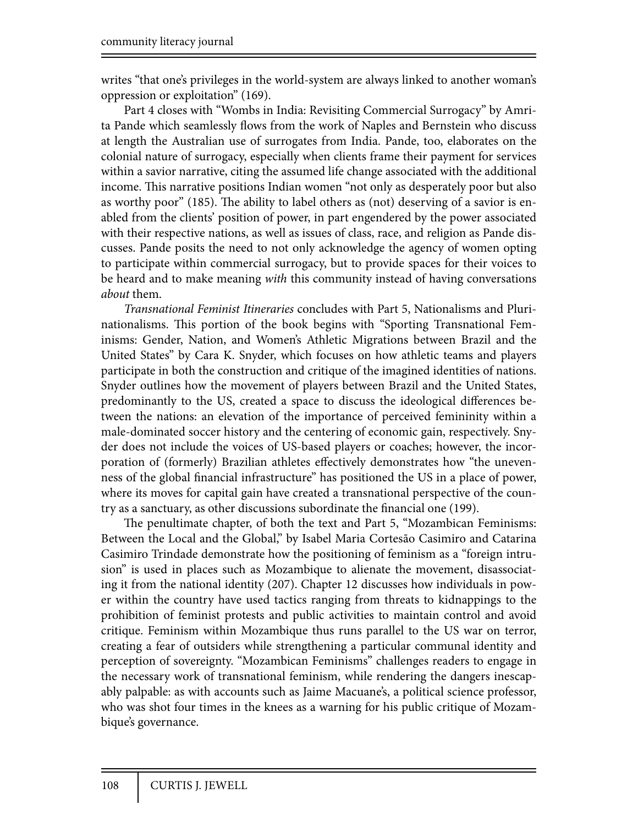writes "that one's privileges in the world-system are always linked to another woman's oppression or exploitation" (169).

Part 4 closes with "Wombs in India: Revisiting Commercial Surrogacy" by Amrita Pande which seamlessly flows from the work of Naples and Bernstein who discuss at length the Australian use of surrogates from India. Pande, too, elaborates on the colonial nature of surrogacy, especially when clients frame their payment for services within a savior narrative, citing the assumed life change associated with the additional income. This narrative positions Indian women "not only as desperately poor but also as worthy poor" (185). The ability to label others as (not) deserving of a savior is enabled from the clients' position of power, in part engendered by the power associated with their respective nations, as well as issues of class, race, and religion as Pande discusses. Pande posits the need to not only acknowledge the agency of women opting to participate within commercial surrogacy, but to provide spaces for their voices to be heard and to make meaning *with* this community instead of having conversations *about* them.

*Transnational Feminist Itineraries* concludes with Part 5, Nationalisms and Plurinationalisms. This portion of the book begins with "Sporting Transnational Feminisms: Gender, Nation, and Women's Athletic Migrations between Brazil and the United States" by Cara K. Snyder, which focuses on how athletic teams and players participate in both the construction and critique of the imagined identities of nations. Snyder outlines how the movement of players between Brazil and the United States, predominantly to the US, created a space to discuss the ideological differences between the nations: an elevation of the importance of perceived femininity within a male-dominated soccer history and the centering of economic gain, respectively. Snyder does not include the voices of US-based players or coaches; however, the incorporation of (formerly) Brazilian athletes effectively demonstrates how "the unevenness of the global financial infrastructure" has positioned the US in a place of power, where its moves for capital gain have created a transnational perspective of the country as a sanctuary, as other discussions subordinate the financial one (199).

The penultimate chapter, of both the text and Part 5, "Mozambican Feminisms: Between the Local and the Global," by Isabel Maria Cortesão Casimiro and Catarina Casimiro Trindade demonstrate how the positioning of feminism as a "foreign intrusion" is used in places such as Mozambique to alienate the movement, disassociating it from the national identity (207). Chapter 12 discusses how individuals in power within the country have used tactics ranging from threats to kidnappings to the prohibition of feminist protests and public activities to maintain control and avoid critique. Feminism within Mozambique thus runs parallel to the US war on terror, creating a fear of outsiders while strengthening a particular communal identity and perception of sovereignty. "Mozambican Feminisms" challenges readers to engage in the necessary work of transnational feminism, while rendering the dangers inescapably palpable: as with accounts such as Jaime Macuane's, a political science professor, who was shot four times in the knees as a warning for his public critique of Mozambique's governance.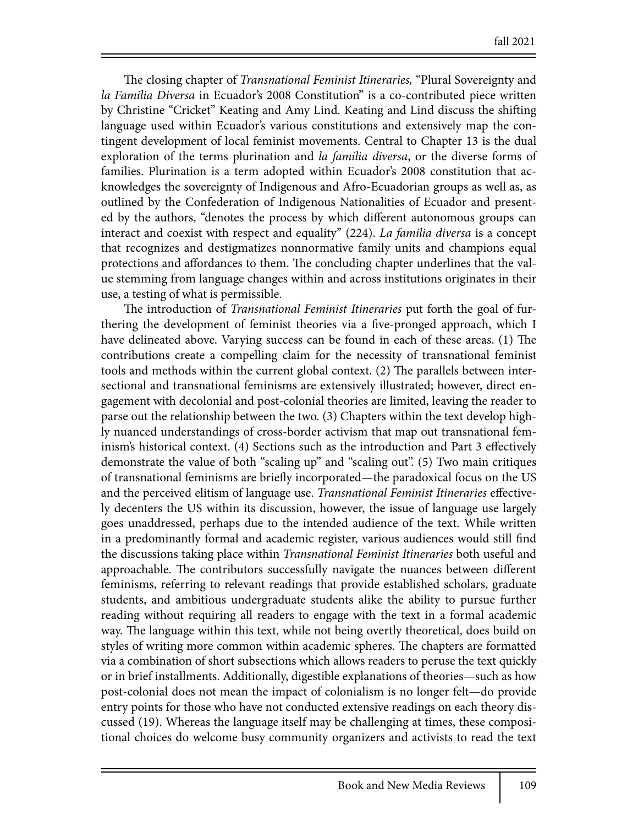The closing chapter of *Transnational Feminist Itineraries*, "Plural Sovereignty and *la Familia Diversa* in Ecuador's 2008 Constitution" is a co-contributed piece written by Christine "Cricket" Keating and Amy Lind. Keating and Lind discuss the shifting language used within Ecuador's various constitutions and extensively map the contingent development of local feminist movements. Central to Chapter 13 is the dual exploration of the terms plurination and *la familia diversa*, or the diverse forms of families. Plurination is a term adopted within Ecuador's 2008 constitution that acknowledges the sovereignty of Indigenous and Afro-Ecuadorian groups as well as, as outlined by the Confederation of Indigenous Nationalities of Ecuador and presented by the authors, "denotes the process by which different autonomous groups can interact and coexist with respect and equality" (224). *La familia diversa* is a concept that recognizes and destigmatizes nonnormative family units and champions equal protections and affordances to them. The concluding chapter underlines that the value stemming from language changes within and across institutions originates in their use, a testing of what is permissible.

The introduction of *Transnational Feminist Itineraries* put forth the goal of furthering the development of feminist theories via a five-pronged approach, which I have delineated above. Varying success can be found in each of these areas. (1) The contributions create a compelling claim for the necessity of transnational feminist tools and methods within the current global context. (2) The parallels between intersectional and transnational feminisms are extensively illustrated; however, direct engagement with decolonial and post-colonial theories are limited, leaving the reader to parse out the relationship between the two. (3) Chapters within the text develop highly nuanced understandings of cross-border activism that map out transnational feminism's historical context. (4) Sections such as the introduction and Part 3 effectively demonstrate the value of both "scaling up" and "scaling out". (5) Two main critiques of transnational feminisms are briefly incorporated—the paradoxical focus on the US and the perceived elitism of language use. *Transnational Feminist Itineraries* effectively decenters the US within its discussion, however, the issue of language use largely goes unaddressed, perhaps due to the intended audience of the text. While written in a predominantly formal and academic register, various audiences would still find the discussions taking place within *Transnational Feminist Itineraries* both useful and approachable. The contributors successfully navigate the nuances between different feminisms, referring to relevant readings that provide established scholars, graduate students, and ambitious undergraduate students alike the ability to pursue further reading without requiring all readers to engage with the text in a formal academic way. The language within this text, while not being overtly theoretical, does build on styles of writing more common within academic spheres. The chapters are formatted via a combination of short subsections which allows readers to peruse the text quickly or in brief installments. Additionally, digestible explanations of theories—such as how post-colonial does not mean the impact of colonialism is no longer felt—do provide entry points for those who have not conducted extensive readings on each theory discussed (19). Whereas the language itself may be challenging at times, these compositional choices do welcome busy community organizers and activists to read the text